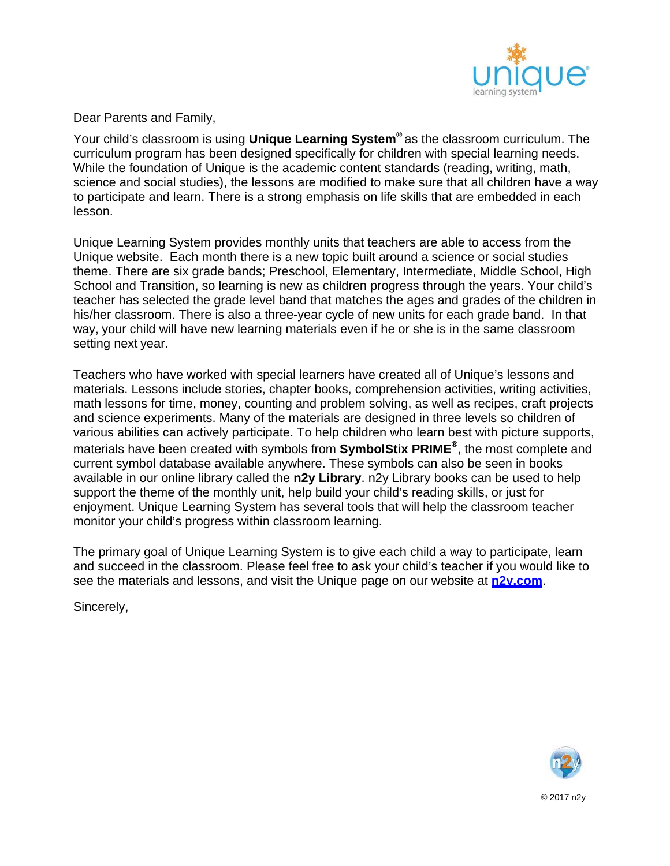

Dear Parents and Family,

Your child's classroom is using **Unique Learning System®** as the classroom curriculum. The curriculum program has been designed specifically for children with special learning needs. While the foundation of Unique is the academic content standards (reading, writing, math, science and social studies), the lessons are modified to make sure that all children have a way to participate and learn. There is a strong emphasis on life skills that are embedded in each lesson.

Unique Learning System provides monthly units that teachers are able to access from the Unique website. Each month there is a new topic built around a science or social studies theme. There are six grade bands; Preschool, Elementary, Intermediate, Middle School, High School and Transition, so learning is new as children progress through the years. Your child's teacher has selected the grade level band that matches the ages and grades of the children in his/her classroom. There is also a three-year cycle of new units for each grade band. In that way, your child will have new learning materials even if he or she is in the same classroom setting next year.

Teachers who have worked with special learners have created all of Unique's lessons and materials. Lessons include stories, chapter books, comprehension activities, writing activities, math lessons for time, money, counting and problem solving, as well as recipes, craft projects and science experiments. Many of the materials are designed in three levels so children of various abilities can actively participate. To help children who learn best with picture supports, materials have been created with symbols from **SymbolStix PRIME®**, the most complete and current symbol database available anywhere. These symbols can also be seen in books available in our online library called the **n2y Library**. n2y Library books can be used to help support the theme of the monthly unit, help build your child's reading skills, or just for enjoyment. Unique Learning System has several tools that will help the classroom teacher monitor your child's progress within classroom learning.

The primary goal of Unique Learning System is to give each child a way to participate, learn and succeed in the classroom. Please feel free to ask your child's teacher if you would like to see the materials and lessons, and visit the Unique page on our website at **n2y.com**.

Sincerely,



© 2017 n2y